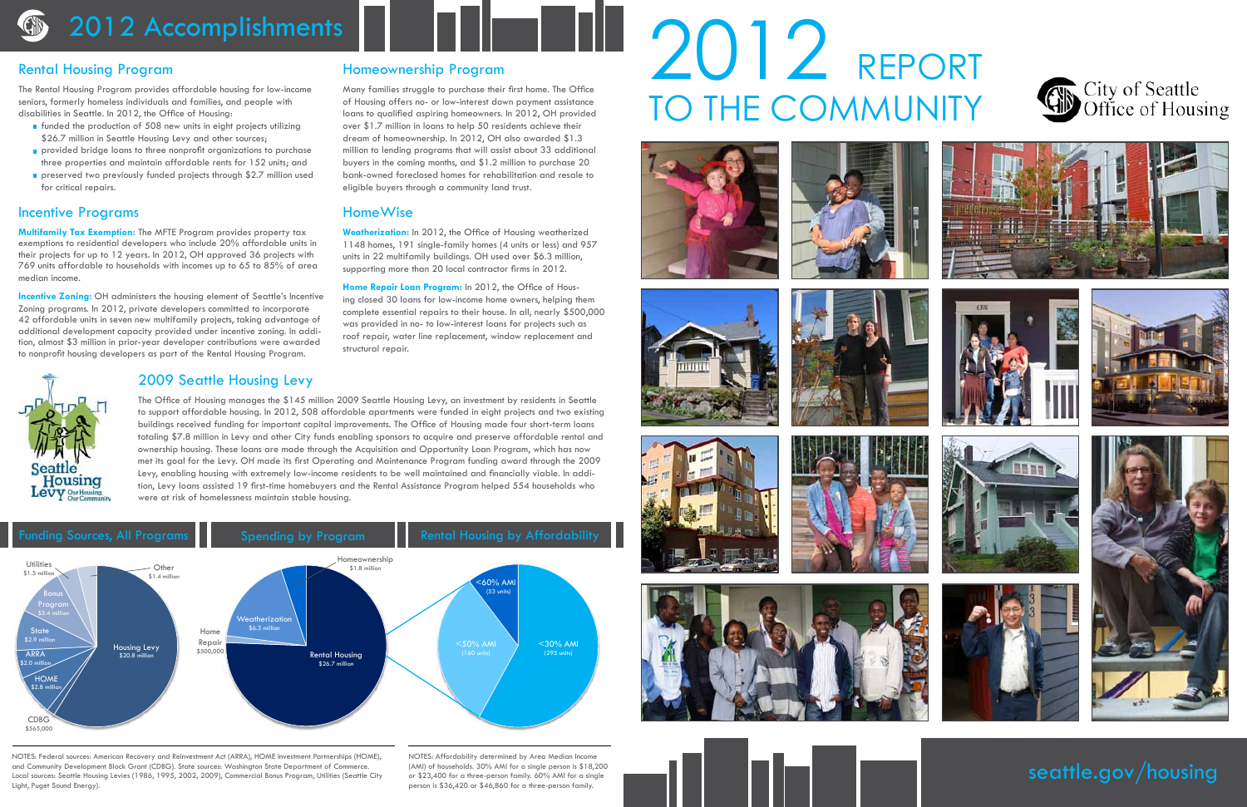### 2012 Accomplishments

### Rental Housing Program

The Rental Housing Program provides affordable housing for low-income seniors, formerly homeless individuals and families, and people with disabilities in Seattle. In 2012, the Office of Housing:

- $\blacksquare$  funded the production of 508 new units in eight projects utilizing \$26.7 million in Seattle Housing Levy and other sources;
- provided bridge loans to three nonprofit organizations to purchase three properties and maintain affordable rents for 152 units; and
- **preserved two previously funded projects through \$2.7 million used** for critical repairs.

### HomeWise

**Weatherization:** In 2012, the Office of Housing weatherized 1148 homes, 191 single-family homes (4 units or less) and 957 units in 22 multifamily buildings. OH used over \$6.3 million, supporting more than 20 local contractor firms in 2012.

**Home Repair Loan Program:** In 2012, the Office of Housing closed 30 loans for low-income home owners, helping them complete essential repairs to their house. In all, nearly \$500,000 was provided in no- to low-interest loans for projects such as roof repair, water line replacement, window replacement and structural repair.

### Homeownership Program

**Incentive Zoning:** OH administers the housing element of Seattle's Incentive Zoning programs. In 2012, private developers committed to incorporate 42 affordable units in seven new multifamily projects, taking advantage of additional development capacity provided under incentive zoning. In addition, almost \$3 million in prior-year developer contributions were awarded to nonprofit housing developers as part of the Rental Housing Program.

Many families struggle to purchase their first home. The Office of Housing offers no- or low-interest down payment assistance loans to qualified aspiring homeowners. In 2012, OH provided over \$1.7 million in loans to help 50 residents achieve their dream of homeownership. In 2012, OH also awarded \$1.3 million to lending programs that will assist about 33 additional buyers in the coming months, and \$1.2 million to purchase 20 bank-owned foreclosed homes for rehabilitation and resale to eligible buyers through a community land trust.

## 2012 REPORT TO THE COMMUNITY













seattle.gov/housing

### Incentive Programs

Housing

**Multifamily Tax Exemption:** The MFTE Program provides property tax exemptions to residential developers who include 20% affordable units in their projects for up to 12 years. In 2012, OH approved 36 projects with 769 units affordable to households with incomes up to 65 to 85% of area median income.



### Levy Our Housing Funding Sources, All Programs Spending by Program Rental Housing by Affordability

### 2009 Seattle Housing Levy

The Office of Housing manages the \$145 million 2009 Seattle Housing Levy, an investment by residents in Seattle to support affordable housing. In 2012, 508 affordable apartments were funded in eight projects and two existing buildings received funding for important capital improvements. The Office of Housing made four short-term loans totaling \$7.8 million in Levy and other City funds enabling sponsors to acquire and preserve affordable rental and ownership housing. These loans are made through the Acquisition and Opportunity Loan Program, which has now met its goal for the Levy. OH made its first Operating and Maintenance Program funding award through the 2009 Levy, enabling housing with extremely low-income residents to be well maintained and financially viable. In addition, Levy loans assisted 19 first-time homebuyers and the Rental Assistance Program helped 554 households who were at risk of homelessness maintain stable housing.

## City of Seattle<br>Office of Housing















NOTES: Federal sources: American Recovery and Reinvestment Act (ARRA), HOME Investment Partnerships (HOME), and Community Development Block Grant (CDBG). State sources: Washington State Department of Commerce. Local sources: Seattle Housing Levies (1986, 1995, 2002, 2009), Commercial Bonus Program, Utilities (Seattle City Light, Puget Sound Energy).

NOTES: Affordability determined by Area Median Income (AMI) of households. 30% AMI for a single person is \$18,200 or \$23,400 for a three-person family. 60% AMI for a single person is \$36,420 or \$46,860 for a three-person family.